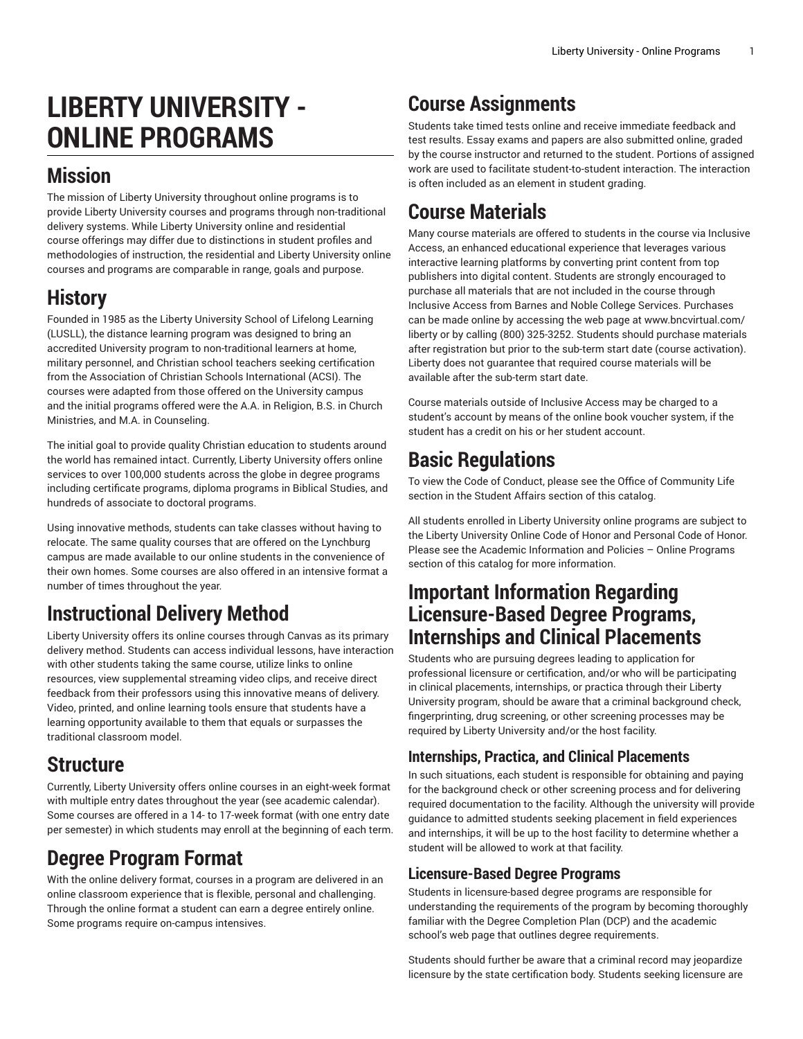# **LIBERTY UNIVERSITY - ONLINE PROGRAMS**

#### **Mission**

The mission of Liberty University throughout online programs is to provide Liberty University courses and programs through non-traditional delivery systems. While Liberty University online and residential course offerings may differ due to distinctions in student profiles and methodologies of instruction, the residential and Liberty University online courses and programs are comparable in range, goals and purpose.

### **History**

Founded in 1985 as the Liberty University School of Lifelong Learning (LUSLL), the distance learning program was designed to bring an accredited University program to non-traditional learners at home, military personnel, and Christian school teachers seeking certification from the Association of Christian Schools International (ACSI). The courses were adapted from those offered on the University campus and the initial programs offered were the A.A. in Religion, B.S. in Church Ministries, and M.A. in Counseling.

The initial goal to provide quality Christian education to students around the world has remained intact. Currently, Liberty University offers online services to over 100,000 students across the globe in degree programs including certificate programs, diploma programs in Biblical Studies, and hundreds of associate to doctoral programs.

Using innovative methods, students can take classes without having to relocate. The same quality courses that are offered on the Lynchburg campus are made available to our online students in the convenience of their own homes. Some courses are also offered in an [intensive](http://www.liberty.edu/online/intensive-courses/) format a number of times throughout the year.

## **Instructional Delivery Method**

Liberty University offers its online courses through Canvas as its primary delivery method. Students can access individual lessons, have interaction with other students taking the same course, utilize links to online resources, view supplemental streaming video clips, and receive direct feedback from their professors using this innovative means of delivery. Video, printed, and online learning tools ensure that students have a learning opportunity available to them that equals or surpasses the traditional classroom model.

### **Structure**

Currently, Liberty University offers online courses in an eight-week format with multiple entry dates throughout the year (see [academic calendar\)](https://www.liberty.edu/online/important-dates-and-deadlines/). Some courses are offered in a 14- to 17-week format (with one entry date per semester) in which students may enroll at the beginning of each term.

## **Degree Program Format**

With the online delivery format, courses in a program are delivered in an online classroom experience that is flexible, personal and challenging. Through the online format a student can earn a degree entirely online. Some programs require on-campus [intensives.](http://www.liberty.edu/online/intensive-courses/)

## **Course Assignments**

Students take timed tests online and receive immediate feedback and test results. Essay exams and papers are also submitted online, graded by the course instructor and returned to the student. Portions of assigned work are used to facilitate student-to-student interaction. The interaction is often included as an element in student grading.

### **Course Materials**

Many course materials are offered to students in the course via [Inclusive](https://www.liberty.edu/inclusiveaccess/) [Access,](https://www.liberty.edu/inclusiveaccess/) an enhanced educational experience that leverages various interactive learning platforms by converting print content from top publishers into digital content. Students are strongly encouraged to purchase all materials that are not included in the course through Inclusive Access from Barnes and Noble College Services. Purchases can be made online by accessing the web page at [www.bncvirtual.com/](https://bncvirtual.com/liberty/) [liberty](https://bncvirtual.com/liberty/) or by calling (800) 325-3252. Students should purchase materials after registration but prior to the sub-term start date (course activation). Liberty does not guarantee that required course materials will be available after the sub-term start date.

Course materials outside of Inclusive Access may be charged to a student's account by means of the online book voucher system, if the student has a credit on his or her student account.

## **Basic Regulations**

To view the [Code of Conduct,](https://catalog.liberty.edu/undergraduate/student-life/student-affairs/#CodeofConduct) please see the Office of Community Life section in the Student Affairs section of this catalog.

All students enrolled in Liberty University online programs are subject to the Liberty University Online Code of Honor and Personal Code of Honor. Please see the Academic [Information](https://catalog.liberty.edu/undergraduate/academic-support/academic-information-policies-online-program/) and Policies – Online Programs section of this catalog for more information.

#### **Important Information Regarding Licensure-Based Degree Programs, Internships and Clinical Placements**

Students who are pursuing degrees leading to application for professional licensure or certification, and/or who will be participating in clinical placements, internships, or practica through their Liberty University program, should be aware that a criminal background check, fingerprinting, drug screening, or other screening processes may be required by Liberty University and/or the host facility.

#### **Internships, Practica, and Clinical Placements**

In such situations, each student is responsible for obtaining and paying for the background check or other screening process and for delivering required documentation to the facility. Although the university will provide guidance to admitted students seeking placement in field experiences and internships, it will be up to the host facility to determine whether a student will be allowed to work at that facility.

#### **Licensure-Based Degree Programs**

Students in licensure-based degree programs are responsible for understanding the requirements of the program by becoming thoroughly familiar with the Degree Completion Plan (DCP) and the academic school's web page that outlines degree requirements.

Students should further be aware that a criminal record may jeopardize licensure by the state certification body. Students seeking licensure are